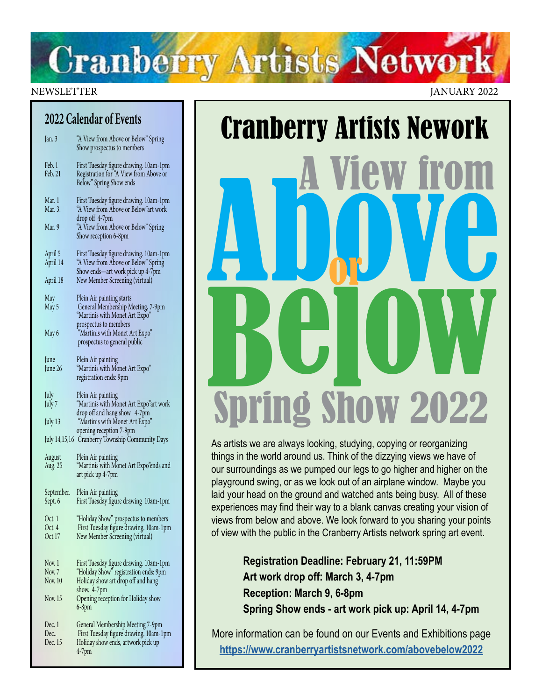## **Cranberry Artists Network**

#### **2022 Calendar of Events**

| Jan. 3                     | "A View from Above or Below" Spring<br>Show prospectus to members                                                 |
|----------------------------|-------------------------------------------------------------------------------------------------------------------|
| Feb. 1<br>Feb. 21          | First Tuesday figure drawing. 10am-1pm<br>Registration for "A View from Above or<br>Below" Spring Show ends       |
| Mar. 1<br>Mar. 3.          | First Tuesday figure drawing. 10am-1pm<br>"A View from Above or Below" art work                                   |
| Mar. 9                     | drop off 4-7pm<br>"A View from Above or Below" Spring<br>Show reception 6-8pm                                     |
| April 5<br>April 14        | First Tuesday figure drawing. 10am-1pm<br>"A View from Above or Below" Spring<br>Show ends—art work pick up 4-7pm |
| April 18                   | New Member Screening (virtual)                                                                                    |
| May<br>May 5               | Plein Air painting starts<br>General Membership Meeting, 7-9pm<br>"Martinis with Monet Art Expo"                  |
| May 6                      | prospectus to members<br>"Martinis with Monet Art Expo"<br>prospectus to general public                           |
| June<br>June 26            | Plein Air painting<br>"Martinis with Monet Art Expo"<br>registration ends: 9pm                                    |
| July<br>July 7             | Plein Air painting<br>"Martinis with Monet Art Expo"art work<br>drop off and hang show 4-7pm                      |
| July 13                    | "Martinis with Monet Art Expo"<br>opening reception 7-9pm                                                         |
|                            | July 14,15,16 Cranberry Township Community Days                                                                   |
| August<br>Aug. 25          | Plein Air painting<br>"Martinis with Monet Art Expo"ends and<br>art pick up 4-7pm                                 |
| September.<br>Sept. 6      | Plein Air painting<br>First Tuesday figure drawing 10am-1pm                                                       |
| Oct. 1<br>Oct. 4<br>Oct.17 | "Holiday Show" prospectus to members<br>First Tuesday figure drawing. 10am-1pm<br>New Member Screening (virtual)  |
| Nov. 1                     | First Tuesday figure drawing. 10am-1pm                                                                            |
| Nov. 7<br>Nov. 10          | "Holiday Show" registration ends: 9pm<br>Holiday show art drop off and hang                                       |
| Nov. 15                    | show. 4-7pm<br>Opening reception for Holiday show<br>6-8pm                                                        |
| Dec. 1                     | General Membership Meeting 7-9pm                                                                                  |
| Dec<br>Dec. 15             | First Tuesday figure drawing. 10am-1pm                                                                            |
|                            | Holiday show ends, artwork pick up<br>4-7pm                                                                       |

NEWSLETTER JANUARY 2022

# Cranberry Artists Nework<br> **A View from A**<br> **A DOW FORM** Below<br>Shrind Shaw 2022 Spring Show 2022 or

As artists we are always looking, studying, copying or reorganizing things in the world around us. Think of the dizzying views we have of our surroundings as we pumped our legs to go higher and higher on the playground swing, or as we look out of an airplane window. Maybe you laid your head on the ground and watched ants being busy. All of these experiences may find their way to a blank canvas creating your vision of views from below and above. We look forward to you sharing your points of view with the public in the Cranberry Artists network spring art event.

> **Registration Deadline: February 21, 11:59PM Art work drop off: March 3, 4-7pm Reception: March 9, 6-8pm Spring Show ends - art work pick up: April 14, 4-7pm**

More information can be found on our Events and Exhibitions page **<https://www.cranberryartistsnetwork.com/abovebelow2022>**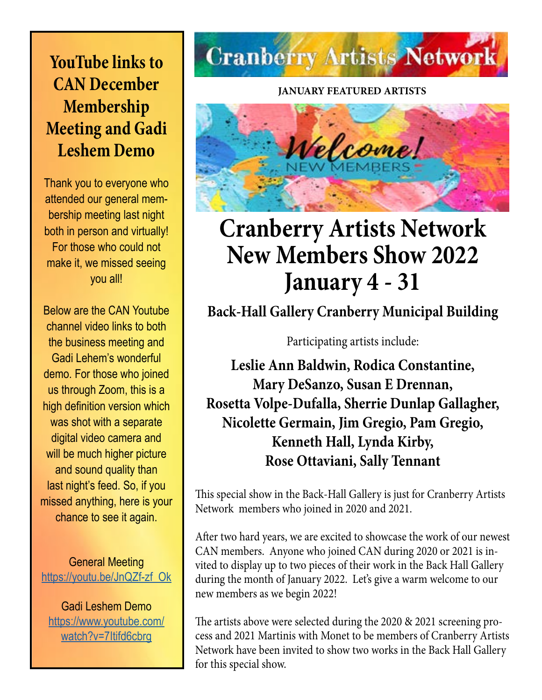### **YouTube links to CAN December Membership Meeting and Gadi Leshem Demo**

Thank you to everyone who attended our general membership meeting last night both in person and virtually! For those who could not make it, we missed seeing you all!

Below are the CAN Youtube channel video links to both the business meeting and Gadi Lehem's wonderful demo. For those who joined us through Zoom, this is a high definition version which was shot with a separate digital video camera and will be much higher picture and sound quality than last night's feed. So, if you missed anything, here is your chance to see it again.

General Meeting [https://youtu.be/JnQZf-zf\\_Ok](https://youtu.be/JnQZf-zf_Ok)

Gadi Leshem Demo [https://www.youtube.com/](https://www.youtube.com/watch?v=7Itifd6cbrg) [watch?v=7Itifd6cbrg](https://www.youtube.com/watch?v=7Itifd6cbrg)

## **Cranberry Artists Network**

**JANUARY FEATURED ARTISTS**



## **Cranberry Artists Network New Members Show 2022 January 4 - 31**

**Back-Hall Gallery Cranberry Municipal Building**

Participating artists include:

**Leslie Ann Baldwin, Rodica Constantine, Mary DeSanzo, Susan E Drennan, Rosetta Volpe-Dufalla, Sherrie Dunlap Gallagher, Nicolette Germain, Jim Gregio, Pam Gregio, Kenneth Hall, Lynda Kirby, Rose Ottaviani, Sally Tennant**

This special show in the Back-Hall Gallery is just for Cranberry Artists Network members who joined in 2020 and 2021.

After two hard years, we are excited to showcase the work of our newest CAN members. Anyone who joined CAN during 2020 or 2021 is invited to display up to two pieces of their work in the Back Hall Gallery during the month of January 2022. Let's give a warm welcome to our new members as we begin 2022!

The artists above were selected during the 2020 & 2021 screening process and 2021 Martinis with Monet to be members of Cranberry Artists Network have been invited to show two works in the Back Hall Gallery for this special show.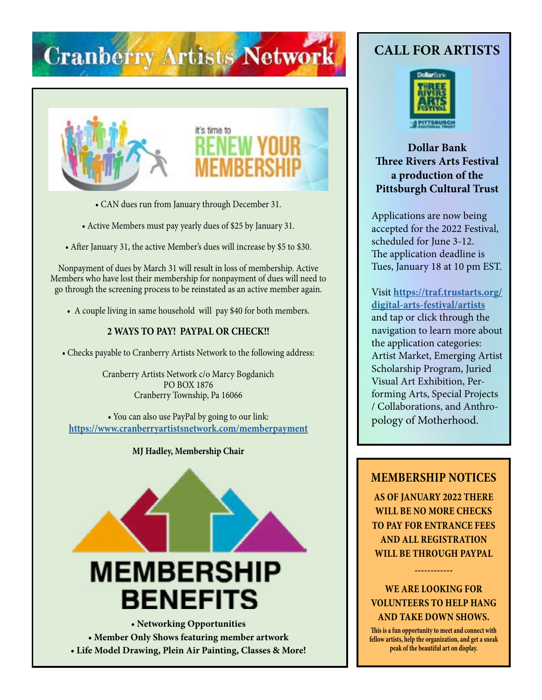## **Cranberry Artists Network**



- CAN dues run from January through December 31.
- Active Members must pay yearly dues of \$25 by January 31.
- After January 31, the active Member's dues will increase by \$5 to \$30.

Nonpayment of dues by March 31 will result in loss of membership. Active Members who have lost their membership for nonpayment of dues will need to go through the screening process to be reinstated as an active member again.

• A couple living in same household will pay \$40 for both members.

#### **2 WAYS TO PAY! PAYPAL OR CHECK!!**

• Checks payable to Cranberry Artists Network to the following address:

Cranberry Artists Network c/o Marcy Bogdanich PO BOX 1876 Cranberry Township, Pa 16066

• You can also use PayPal by going to our link: **<https://www.cranberryartistsnetwork.com/memberpayment>**

#### **MJ Hadley, Membership Chair**



**• Member Only Shows featuring member artwork • Life Model Drawing, Plein Air Painting, Classes & More!**

#### **CALL FOR ARTISTS**



#### **Dollar Bank Three Rivers Arts Festival a production of the Pittsburgh Cultural Trust**

Applications are now being accepted for the 2022 Festival, scheduled for June 3-12. The application deadline is Tues, January 18 at 10 pm EST.

Visit **[https://traf.trustarts.org/](https://traf.trustarts.org/digital-arts-festival/artists) [digital-arts-festival/artists](https://traf.trustarts.org/digital-arts-festival/artists)** and tap or click through the navigation to learn more about the application categories: Artist Market, Emerging Artist Scholarship Program, Juried Visual Art Exhibition, Performing Arts, Special Projects / Collaborations, and Anthropology of Motherhood.

#### **MEMBERSHIP NOTICES**

**AS OF JANUARY 2022 THERE WILL BE NO MORE CHECKS TO PAY FOR ENTRANCE FEES AND ALL REGISTRATION WILL BE THROUGH PAYPAL** 

**WE ARE LOOKING FOR VOLUNTEERS TO HELP HANG AND TAKE DOWN SHOWS.**

**------------**

**This is a fun opportunity to meet and connect with fellow artists, help the organization, and get a sneak peak of the beautiful art on display.**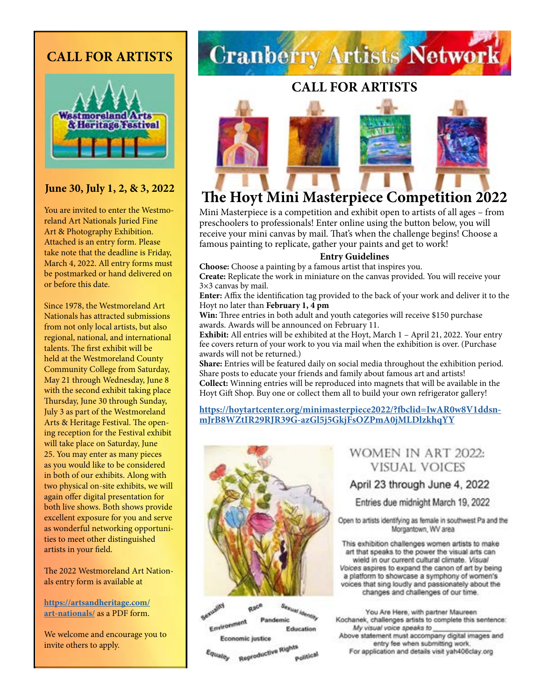#### **CALL FOR ARTISTS**



#### **June 30, July 1, 2, & 3, 2022**

You are invited to enter the Westmoreland Art Nationals Juried Fine Art & Photography Exhibition. Attached is an entry form. Please take note that the deadline is Friday, March 4, 2022. All entry forms must be postmarked or hand delivered on or before this date.

Since 1978, the Westmoreland Art Nationals has attracted submissions from not only local artists, but also regional, national, and international talents. The first exhibit will be held at the Westmoreland County Community College from Saturday, May 21 through Wednesday, June 8 with the second exhibit taking place Thursday, June 30 through Sunday, July 3 as part of the Westmoreland Arts & Heritage Festival. The opening reception for the Festival exhibit will take place on Saturday, June 25. You may enter as many pieces as you would like to be considered in both of our exhibits. Along with two physical on-site exhibits, we will again offer digital presentation for both live shows. Both shows provide excellent exposure for you and serve as wonderful networking opportunities to meet other distinguished artists in your field.

The 2022 Westmoreland Art Nationals entry form is available at

**[https://artsandheritage.com/](https://artsandheritage.com/art-nationals/) [art-nationals/](https://artsandheritage.com/art-nationals/)** as a PDF form.

We welcome and encourage you to invite others to apply.

## **Cranberry Artists Network**

#### **CALL FOR ARTISTS**



#### **The Hoyt Mini Masterpiece Competition 2022**

Mini Masterpiece is a competition and exhibit open to artists of all ages – from preschoolers to professionals! Enter online using the button below, you will receive your mini canvas by mail. That's when the challenge begins! Choose a famous painting to replicate, gather your paints and get to work!

#### **Entry Guidelines**

**Choose:** Choose a painting by a famous artist that inspires you. **Create:** Replicate the work in miniature on the canvas provided. You will receive your 3×3 canvas by mail.

**Enter:** Affix the identification tag provided to the back of your work and deliver it to the Hoyt no later than **February 1, 4 pm**

**Win:** Three entries in both adult and youth categories will receive \$150 purchase awards. Awards will be announced on February 11.

**Exhibit:** All entries will be exhibited at the Hoyt, March 1 – April 21, 2022. Your entry fee covers return of your work to you via mail when the exhibition is over. (Purchase awards will not be returned.)

**Share:** Entries will be featured daily on social media throughout the exhibition period. Share posts to educate your friends and family about famous art and artists! **Collect:** Winning entries will be reproduced into magnets that will be available in the Hoyt Gift Shop. Buy one or collect them all to build your own refrigerator gallery!

**[https://hoytartcenter.org/minimasterpiece2022/?fbclid=IwAR0w8V1ddsn](https://hoytartcenter.org/minimasterpiece2022/?fbclid=IwAR0w8V1ddsnmJrB8WZtIR29RJR39G-azGl5j5GkjFsOZPmA0jMLDlzkhqYY)[mJrB8WZtIR29RJR39G-azGl5j5GkjFsOZPmA0jMLDlzkhqYY](https://hoytartcenter.org/minimasterpiece2022/?fbclid=IwAR0w8V1ddsnmJrB8WZtIR29RJR39G-azGl5j5GkjFsOZPmA0jMLDlzkhqYY)**



**Exusting** Sexual Identity Race Environment Pandemic Education Economic justice

Reproductive Rights Equality Political

#### WOMEN IN ART 2022: **VISUAL VOICES**

#### April 23 through June 4, 2022

Entries due midnight March 19, 2022

Open to artists identifying as female in southwest Pa and the Morgantown, WV area

This exhibition challenges women artists to make art that speaks to the power the visual arts can wield in our current cultural climate. Visual Voices aspires to expand the canon of art by being a platform to showcase a symphony of women's voices that sing loudly and passionately about the changes and challenges of our time.

You Are Here, with partner Maureen Kochanek, challenges artists to complete this sentence: My visual voice speaks to Above statement must accompany digital images and entry fee when submitting work. For application and details visit yah406clay.org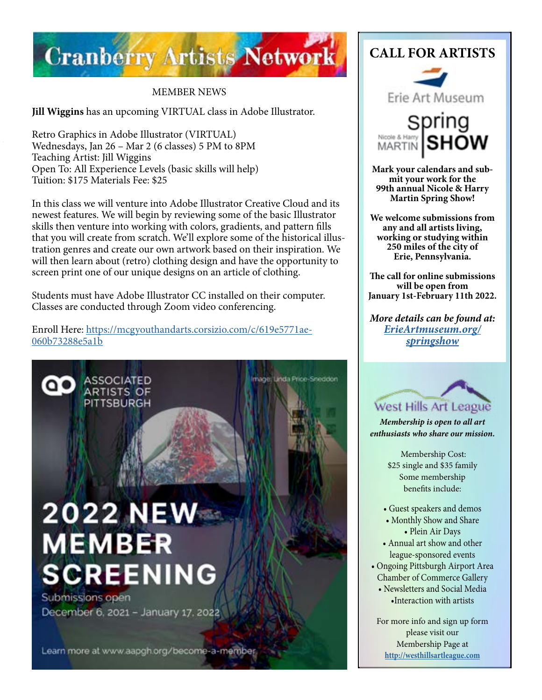

#### MEMBER NEWS

**Jill Wiggins** has an upcoming VIRTUAL class in Adobe Illustrator.

Retro Graphics in Adobe Illustrator (VIRTUAL) Wednesdays, Jan 26 – Mar 2 (6 classes) 5 PM to 8PM Teaching Artist: Jill Wiggins Open To: All Experience Levels (basic skills will help) Tuition: \$175 Materials Fee: \$25

In this class we will venture into Adobe Illustrator Creative Cloud and its newest features. We will begin by reviewing some of the basic Illustrator skills then venture into working with colors, gradients, and pattern fills that you will create from scratch. We'll explore some of the historical illustration genres and create our own artwork based on their inspiration. We will then learn about (retro) clothing design and have the opportunity to screen print one of our unique designs on an article of clothing.

Students must have Adobe Illustrator CC installed on their computer. Classes are conducted through Zoom video conferencing.

mage: Linda Price-Sneddon

Enroll Here: [https://mcgyouthandarts.corsizio.com/c/619e5771ae-](https://mcgyouthandarts.corsizio.com/c/619e5771ae060b73288e5a1b)[060b73288e5a1b](https://mcgyouthandarts.corsizio.com/c/619e5771ae060b73288e5a1b)



**ASSOCIATED** 

**ARTISTS OF** PITTSBURGH

O۰

Submissions open December 6, 2021 - January 17, 2022

Learn more at www.aapgh.org/become-a-member







**Mark your calendars and sub- mit your work for the 99th annual Nicole & Harry Martin Spring Show!**

**We welcome submissions from any and all artists living, working or studying within 250 miles of the city of Erie, Pennsylvania.** 

**The call for online submissions will be open from January 1st-February 11th 2022.**

*More details can be found at: [ErieArtmuseum.org/](https://ErieArtmuseum.org/springshow) [springshow](https://ErieArtmuseum.org/springshow)*



*Membership is open to all art enthusiasts who share our mission.*

> Membership Cost: \$25 single and \$35 family Some membership benefits include:

- Guest speakers and demos
- Monthly Show and Share • Plein Air Days
- Annual art show and other league-sponsored events
- Ongoing Pittsburgh Airport Area Chamber of Commerce Gallery
	- Newsletters and Social Media •Interaction with artists

For more info and sign up form please visit our Membership Page at **<http://westhillsartleague.com>**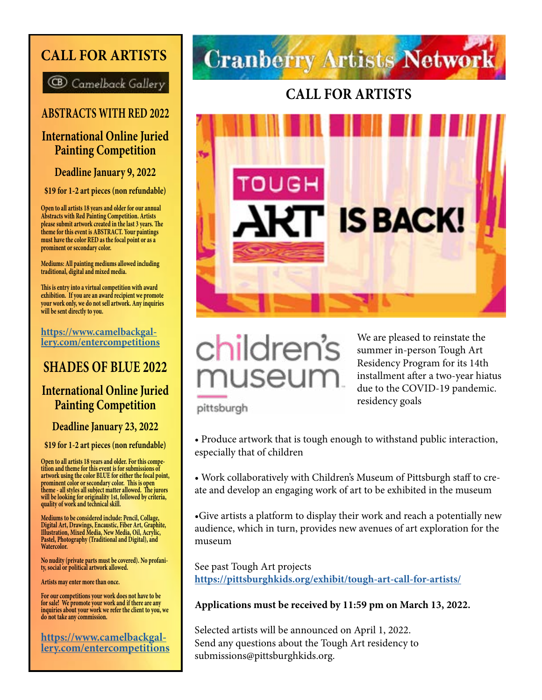#### **CALL FOR ARTISTS**

**B** Camelback Gallery

#### **ABSTRACTS WITH RED 2022**

#### **International Online Juried Painting Competition**

**Deadline January 9, 2022**

**\$19 for 1-2 art pieces (non refundable)**

**Open to all artists 18 years and older for our annual Abstracts with Red Painting Competition. Artists please submit artwork created in the last 3 years. The theme for this event is ABSTRACT. Your paintings must have the color RED as the focal point or as a prominent or secondary color.**

**Mediums: All painting mediums allowed including traditional, digital and mixed media.**

**This is entry into a virtual competition with award exhibition. If you are an award recipient we promote your work only, we do not sell artwork. Any inquiries will be sent directly to you.**

**[https://www.camelbackgal](https://www.camelbackgallery.com/entercompetitions)[lery.com/entercompetitions](https://www.camelbackgallery.com/entercompetitions)**

#### **SHADES OF BLUE 2022**

#### **International Online Juried Painting Competition**

**Deadline January 23, 2022**

**\$19 for 1-2 art pieces (non refundable)**

**Open to all artists 18 years and older. For this compe tition and theme for this event is for submissions of artwork using the color BLUE for either the focal point, prominent color or secondary color. This is open theme - all styles all subject matter allowed. The jurors will be looking for originality 1st, followed by criteria, quality of work and technical skill.**

**Mediums to be considered include: Pencil, Collage, Digital Art, Drawings, Encaustic, Fiber Art, Graphite, Illustration, Mixed Media, New Media, Oil, Acrylic, Pastel, Photography (Traditional and Digital), and Watercolor.** 

**No nudity (private parts must be covered). No profani- ty, social or political artwork allowed.**

**Artists may enter more than once.**

**For our competitions your work does not have to be for sale! We promote your work and if there are any inquiries about your work we refer the client to you, we do not take any commission.**

**https://www.camelbackgal- lery.com/entercompetitions**

## **Cranberry Artists Network**

#### **CALL FOR ARTISTS**





We are pleased to reinstate the summer in-person Tough Art Residency Program for its 14th installment after a two-year hiatus due to the COVID-19 pandemic. residency goals

pittsburgh

- Produce artwork that is tough enough to withstand public interaction, especially that of children
- Work collaboratively with Children's Museum of Pittsburgh staff to create and develop an engaging work of art to be exhibited in the museum

•Give artists a platform to display their work and reach a potentially new audience, which in turn, provides new avenues of art exploration for the museum

See past Tough Art projects **<https://pittsburghkids.org/exhibit/tough-art-call-for-artists/>**

#### **Applications must be received by 11:59 pm on March 13, 2022.**

Selected artists will be announced on April 1, 2022. Send any questions about the Tough Art residency to submissions@pittsburghkids.org.